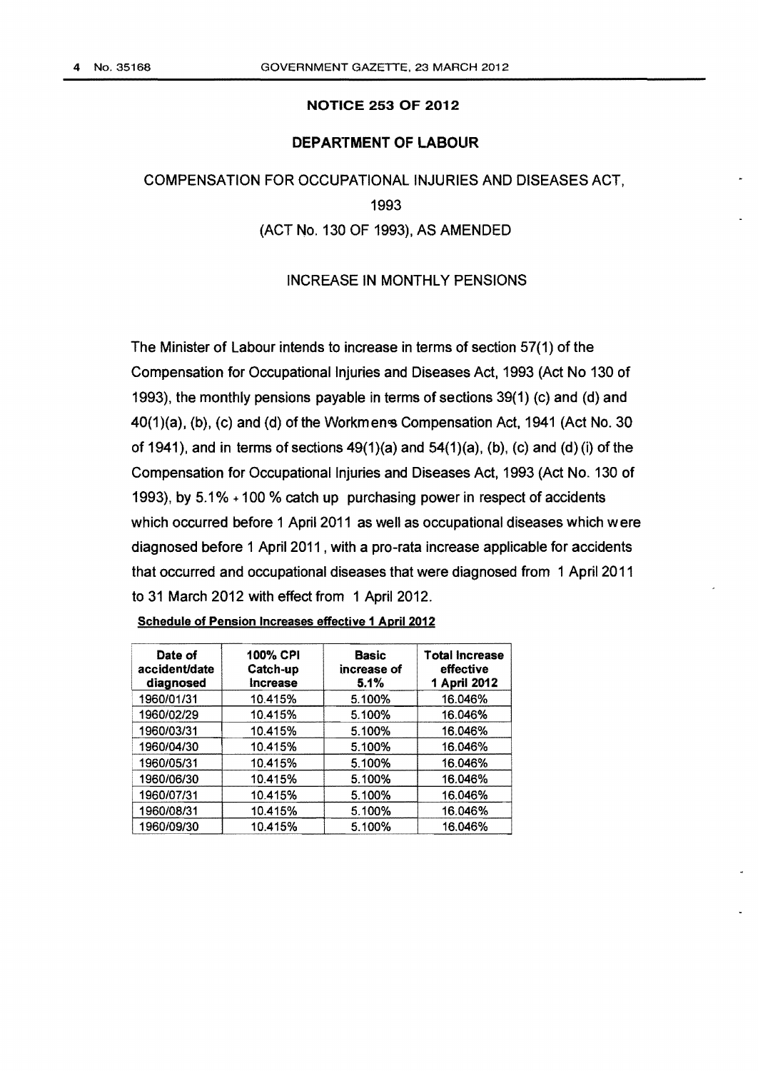## NOTICE 253 OF 2012

## DEPARTMENT OF LABOUR

COMPENSATION FOR OCCUPATIONAL INJURIES AND DISEASES ACT, 1993 (ACT No. 130 OF 1993), AS AMENDED

## INCREASE IN MONTHLY PENSIONS

The Minister of Labour intends to increase in terms of section 57(1) of the Compensation for Occupational Injuries and Diseases Act, 1993 (Act No 130 of 1993), the monthly pensions payable in terms of sections 39(1) (c) and (d) and 40(1)(a), (b), (c) and (d) of the Workmens Compensation Act, 1941 (Act No. 30 of 1941), and in terms of sections  $49(1)(a)$  and  $54(1)(a)$ , (b), (c) and (d)(i) of the Compensation for Occupational Injuries and Diseases Act, 1993 (Act No. 130 of 1993), by 5.1% + 100 % catch up purchasing power in respect of accidents which occurred before 1 April 2011 as well as occupational diseases which were diagnosed before 1 April 2011 , with a pro-rata increase applicable for accidents that occurred and occupational diseases that were diagnosed from 1 Apri12011 to 31 March 2012 with effect from 1 April 2012.

| Date of<br>accident/date<br>diagnosed | <b>100% CPI</b><br>Catch-up<br>Increase | <b>Basic</b><br>increase of<br>5.1% | <b>Total Increase</b><br>effective<br>1 April 2012 |
|---------------------------------------|-----------------------------------------|-------------------------------------|----------------------------------------------------|
| 1960/01/31                            | 10.415%                                 | 5.100%                              | 16.046%                                            |
| 1960/02/29                            | 10.415%                                 | 5.100%                              | 16.046%                                            |
| 1960/03/31                            | 10.415%                                 | 5.100%                              | 16.046%                                            |
| 1960/04/30                            | 10.415%                                 | 5.100%                              | 16.046%                                            |
| 1960/05/31                            | 10.415%                                 | 5.100%                              | 16.046%                                            |
| 1960/06/30                            | 10.415%                                 | 5.100%                              | 16.046%                                            |
| 1960/07/31                            | 10.415%                                 | 5.100%                              | 16.046%                                            |
| 1960/08/31                            | 10.415%                                 | 5.100%                              | 16.046%                                            |
| 1960/09/30                            | 10.415%                                 | 5.100%                              | 16.046%                                            |

Schedule of Pension Increases effective 1 April 2012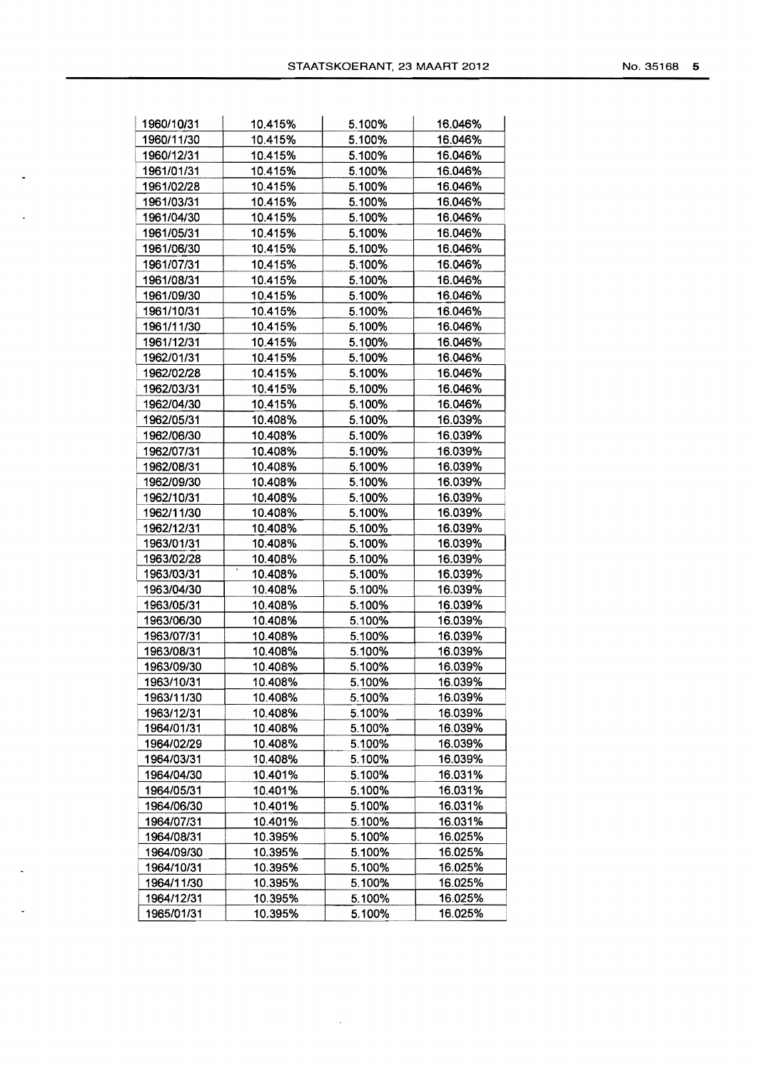|  | No. 35168 | 5 |
|--|-----------|---|
|--|-----------|---|

| 1960/10/31               | 10.415%            | 5.100%           | 16.046%            |
|--------------------------|--------------------|------------------|--------------------|
| 1960/11/30               | 10.415%            | 5.100%           | 16.046%            |
| 1960/12/31               | 10.415%            | 5.100%           | 16.046%            |
| 1961/01/31               | 10.415%            | 5.100%           | 16.046%            |
| 1961/02/28               | 10.415%            | 5.100%           | 16.046%            |
| 1961/03/31               | 10.415%            | 5.100%           | 16.046%            |
| 1961/04/30               | 10.415%            | 5.100%           | 16.046%            |
| 1961/05/31               | 10.415%            | 5.100%           | 16.046%            |
| 1961/06/30               | 10.415%            | 5.100%           | 16.046%            |
| 1961/07/31               | 10.415%            | 5.100%           | 16.046%            |
| 1961/08/31               | 10.415%            | 5.100%           | 16.046%            |
| 1961/09/30               | 10.415%            | 5.100%           | 16.046%            |
| 1961/10/31               | 10.415%            | 5.100%           | 16.046%            |
| 1961/11/30               | 10.415%            | 5.100%           | 16.046%            |
| 1961/12/31               | 10.415%            | 5.100%           | 16.046%            |
| 1962/01/31               | 10.415%            | 5.100%           | 16.046%            |
| 1962/02/28               | 10.415%            | 5.100%           | 16.046%            |
| 1962/03/31               | 10.415%            | 5.100%           | 16.046%            |
| 1962/04/30               | 10.415%            | 5.100%           | 16.046%            |
| 1962/05/31               | 10.408%            | 5.100%           | 16.039%            |
| 1962/06/30               | 10.408%            | 5.100%           | 16.039%            |
| 1962/07/31               | 10.408%            | 5.100%           | 16.039%            |
| 1962/08/31               | 10.408%            | 5.100%           | 16.039%            |
| 1962/09/30               | 10.408%            | 5.100%           | 16.039%            |
| 1962/10/31               | 10.408%            | 5.100%           | 16.039%            |
| 1962/11/30               | 10.408%            | 5.100%           | 16.039%            |
| 1962/12/31               | 10.408%            | 5.100%           | 16.039%            |
| 1963/01/31               | 10.408%            | 5.100%           | 16.039%            |
| 1963/02/28               | 10.408%            | 5.100%           | 16.039%            |
| 1963/03/31               | 10.408%            | 5.100%           | 16.039%            |
| 1963/04/30               | 10.408%            | 5.100%           | 16.039%            |
| 1963/05/31               | 10.408%            | 5.100%           | 16.039%            |
| 1963/06/30               | 10.408%            | 5.100%           | 16.039%            |
| 1963/07/31               | 10.408%            | 5.100%           | 16.039%            |
| 1963/08/31               | 10.408%            | 5.100%           | 16.039%            |
| 1963/09/30               | 10.408%            | 5.100%           | 16.039%            |
| 1963/10/31               | 10.408%            | 5.100%           | 16.039%            |
|                          | 10.408%            | 5.100%           | 16.039%            |
| 1963/11/30               |                    |                  |                    |
| 1963/12/31<br>1964/01/31 | 10.408%<br>10.408% | 5.100%<br>5.100% | 16.039%<br>16.039% |
| 1964/02/29               | 10.408%            | 5.100%           | 16.039%            |
|                          | 10.408%            |                  | 16.039%            |
| 1964/03/31               | 10.401%            | 5.100%<br>5.100% | 16.031%            |
| 1964/04/30               |                    |                  | 16.031%            |
| 1964/05/31               | 10.401%            | 5.100%           |                    |
| 1964/06/30               | 10.401%            | 5.100%           | 16.031%            |
| 1964/07/31               | 10.401%            | 5.100%           | 16.031%            |
| 1964/08/31               | 10.395%            | 5.100%           | 16.025%            |
| 1964/09/30               | 10.395%            | 5.100%           | 16.025%            |
| 1964/10/31               | 10.395%            | 5.100%           | 16.025%            |
| 1964/11/30               | 10.395%            | 5.100%           | 16.025%            |
| 1964/12/31               | 10.395%            | 5.100%           | 16.025%            |
| 1965/01/31               | 10.395%            | 5.100%           | 16.025%            |

 $\sim 10^{-1}$ 

 $\overline{a}$ 

 $\overline{\phantom{a}}$ 

 $\ddot{\phantom{a}}$ 

 $\sim$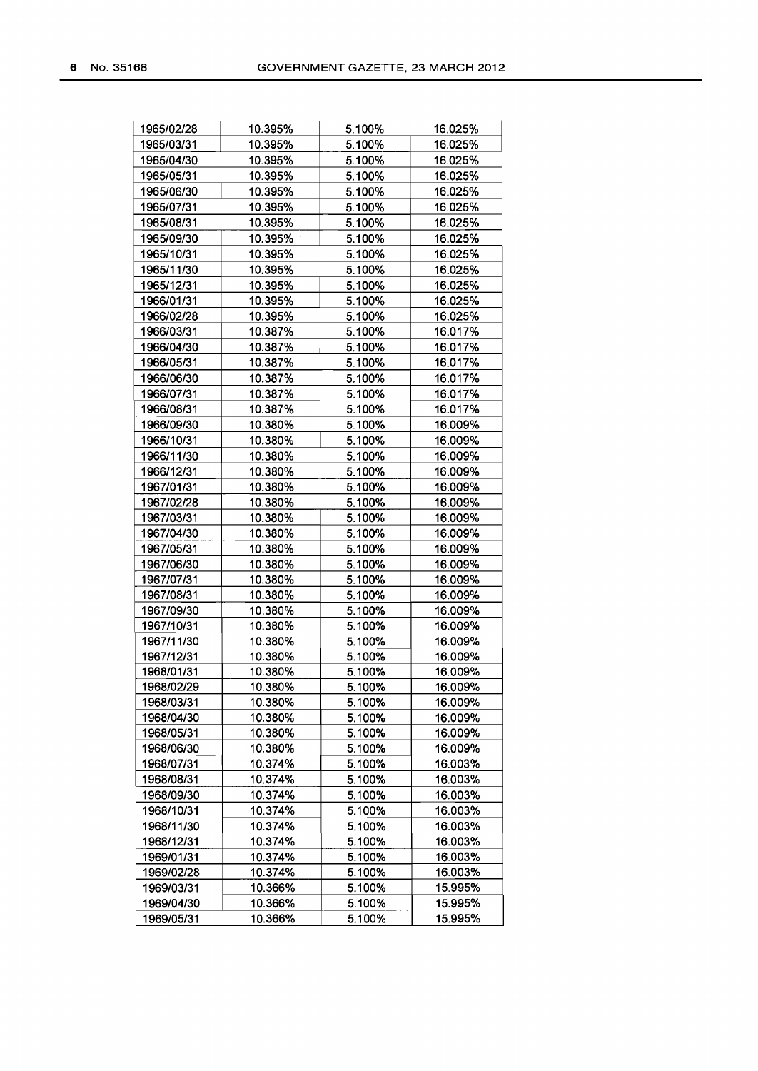| 1965/02/28 | 10.395% | 5.100% | 16.025% |
|------------|---------|--------|---------|
| 1965/03/31 | 10.395% | 5.100% | 16.025% |
| 1965/04/30 | 10.395% | 5.100% | 16.025% |
| 1965/05/31 | 10.395% | 5.100% | 16.025% |
| 1965/06/30 | 10.395% | 5.100% | 16.025% |
| 1965/07/31 | 10.395% | 5.100% | 16.025% |
| 1965/08/31 | 10.395% | 5.100% | 16.025% |
| 1965/09/30 | 10.395% | 5.100% | 16.025% |
| 1965/10/31 | 10.395% | 5.100% | 16.025% |
| 1965/11/30 | 10.395% | 5.100% | 16.025% |
| 1965/12/31 | 10.395% | 5.100% | 16.025% |
| 1966/01/31 | 10.395% | 5.100% | 16.025% |
| 1966/02/28 | 10.395% | 5.100% | 16.025% |
| 1966/03/31 | 10.387% | 5.100% | 16.017% |
| 1966/04/30 | 10.387% | 5.100% | 16.017% |
| 1966/05/31 | 10.387% | 5.100% | 16.017% |
| 1966/06/30 | 10.387% | 5.100% | 16.017% |
| 1966/07/31 | 10.387% | 5.100% | 16.017% |
| 1966/08/31 | 10.387% | 5.100% | 16.017% |
| 1966/09/30 | 10.380% | 5.100% | 16.009% |
| 1966/10/31 | 10.380% | 5.100% | 16.009% |
| 1966/11/30 | 10.380% | 5.100% | 16.009% |
| 1966/12/31 | 10.380% | 5.100% | 16.009% |
| 1967/01/31 | 10.380% | 5.100% | 16.009% |
| 1967/02/28 | 10.380% | 5.100% | 16.009% |
| 1967/03/31 | 10.380% | 5.100% | 16.009% |
|            |         |        |         |
| 1967/04/30 | 10.380% | 5.100% | 16.009% |
| 1967/05/31 | 10.380% | 5.100% | 16.009% |
| 1967/06/30 | 10.380% | 5.100% | 16.009% |
| 1967/07/31 | 10.380% | 5.100% | 16.009% |
| 1967/08/31 | 10.380% | 5.100% | 16.009% |
| 1967/09/30 | 10.380% | 5.100% | 16.009% |
| 1967/10/31 | 10.380% | 5.100% | 16.009% |
| 1967/11/30 | 10.380% | 5.100% | 16.009% |
| 1967/12/31 | 10.380% | 5.100% | 16.009% |
| 1968/01/31 | 10.380% | 5.100% | 16.009% |
| 1968/02/29 | 10.380% | 5.100% | 16.009% |
| 1968/03/31 | 10.380% | 5.100% | 16.009% |
| 1968/04/30 | 10.380% | 5.100% | 16.009% |
| 1968/05/31 | 10.380% | 5.100% | 16.009% |
| 1968/06/30 | 10.380% | 5.100% | 16.009% |
| 1968/07/31 | 10.374% | 5.100% | 16.003% |
| 1968/08/31 | 10.374% | 5.100% | 16.003% |
| 1968/09/30 | 10.374% | 5.100% | 16.003% |
| 1968/10/31 | 10.374% | 5.100% | 16.003% |
| 1968/11/30 | 10.374% | 5.100% | 16.003% |
| 1968/12/31 | 10.374% | 5.100% | 16.003% |
| 1969/01/31 | 10.374% | 5.100% | 16.003% |
| 1969/02/28 | 10.374% | 5.100% | 16.003% |
| 1969/03/31 | 10.366% | 5.100% | 15.995% |
| 1969/04/30 | 10.366% | 5.100% | 15.995% |
| 1969/05/31 | 10.366% | 5.100% | 15.995% |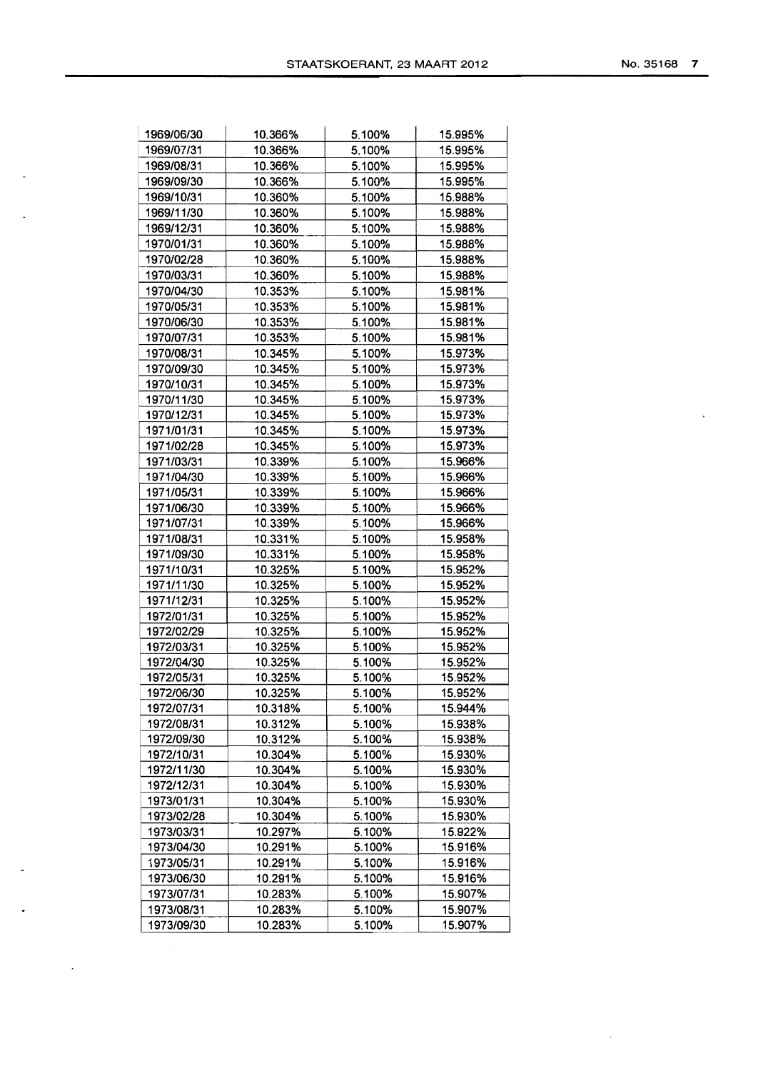| 1969/06/30 | 10.366% | 5.100% | 15.995% |
|------------|---------|--------|---------|
| 1969/07/31 | 10.366% | 5.100% | 15.995% |
| 1969/08/31 | 10.366% | 5.100% | 15.995% |
| 1969/09/30 | 10.366% | 5.100% | 15.995% |
| 1969/10/31 | 10.360% | 5.100% | 15.988% |
| 1969/11/30 | 10.360% | 5.100% | 15.988% |
| 1969/12/31 | 10.360% | 5.100% | 15.988% |
| 1970/01/31 | 10.360% | 5.100% | 15.988% |
| 1970/02/28 | 10.360% | 5.100% | 15.988% |
| 1970/03/31 | 10.360% | 5.100% | 15.988% |
| 1970/04/30 | 10.353% | 5.100% | 15.981% |
| 1970/05/31 | 10.353% | 5.100% | 15.981% |
| 1970/06/30 | 10.353% | 5.100% | 15.981% |
| 1970/07/31 | 10.353% | 5.100% | 15.981% |
| 1970/08/31 | 10.345% | 5.100% | 15.973% |
| 1970/09/30 | 10.345% | 5.100% | 15.973% |
| 1970/10/31 | 10.345% | 5.100% | 15.973% |
| 1970/11/30 | 10.345% | 5.100% | 15.973% |
| 1970/12/31 | 10.345% | 5.100% | 15.973% |
| 1971/01/31 | 10.345% | 5.100% | 15.973% |
| 1971/02/28 | 10.345% | 5.100% | 15.973% |
| 1971/03/31 | 10.339% | 5.100% | 15.966% |
| 1971/04/30 | 10.339% | 5.100% | 15.966% |
| 1971/05/31 | 10.339% | 5.100% | 15.966% |
| 1971/06/30 | 10.339% | 5.100% | 15.966% |
| 1971/07/31 | 10.339% | 5.100% | 15.966% |
| 1971/08/31 | 10.331% | 5.100% | 15.958% |
| 1971/09/30 | 10.331% | 5.100% | 15.958% |
| 1971/10/31 | 10.325% | 5.100% | 15.952% |
| 1971/11/30 | 10.325% | 5.100% | 15.952% |
| 1971/12/31 | 10.325% | 5.100% | 15.952% |
| 1972/01/31 | 10.325% | 5.100% | 15.952% |
| 1972/02/29 | 10.325% | 5.100% | 15.952% |
| 1972/03/31 | 10.325% | 5.100% | 15.952% |
| 1972/04/30 | 10.325% | 5.100% | 15.952% |
| 1972/05/31 | 10.325% | 5.100% | 15.952% |
| 1972/06/30 | 10.325% | 5.100% | 15.952% |
| 1972/07/31 | 10.318% | 5.100% | 15.944% |
| 1972/08/31 | 10.312% | 5.100% | 15.938% |
| 1972/09/30 | 10.312% | 5.100% | 15.938% |
| 1972/10/31 | 10.304% | 5.100% | 15.930% |
| 1972/11/30 | 10.304% | 5.100% | 15.930% |
| 1972/12/31 | 10.304% | 5.100% | 15.930% |
| 1973/01/31 | 10.304% | 5.100% | 15.930% |
| 1973/02/28 | 10.304% | 5.100% | 15.930% |
| 1973/03/31 | 10.297% | 5.100% | 15.922% |
| 1973/04/30 | 10.291% | 5.100% | 15.916% |
| 1973/05/31 | 10.291% | 5.100% | 15.916% |
| 1973/06/30 | 10.291% | 5.100% | 15.916% |
| 1973/07/31 | 10.283% | 5.100% | 15.907% |
| 1973/08/31 | 10.283% | 5.100% | 15.907% |
| 1973/09/30 | 10.283% | 5.100% | 15.907% |
|            |         |        |         |

 $\overline{a}$ 

 $\sim$ 

 $\sim$ 

 $\langle \cdot \rangle$ 

 $\sim$ 

 $\mathbf{v}$ 

 $\hat{\mathcal{A}}$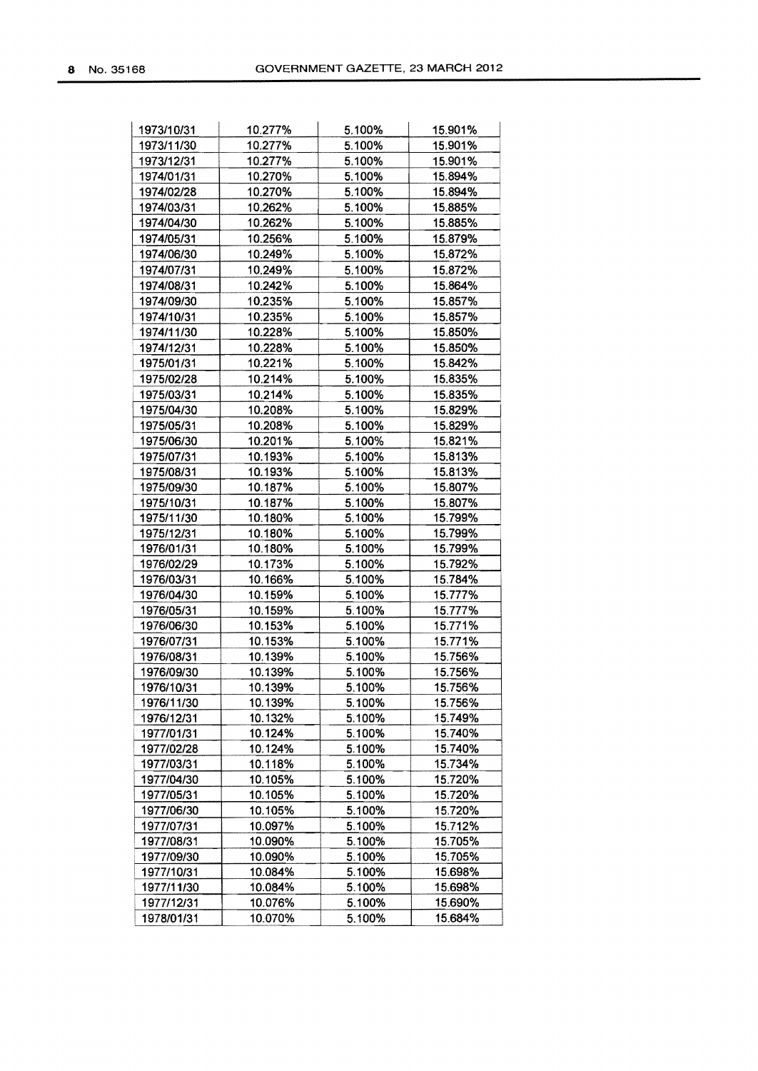| 1973/10/31 | 10.277% | 5.100% | 15.901% |
|------------|---------|--------|---------|
| 1973/11/30 | 10.277% | 5.100% | 15.901% |
| 1973/12/31 | 10.277% | 5.100% | 15.901% |
| 1974/01/31 | 10.270% | 5.100% | 15.894% |
| 1974/02/28 | 10.270% | 5.100% | 15.894% |
| 1974/03/31 | 10.262% | 5.100% | 15.885% |
| 1974/04/30 | 10.262% | 5.100% | 15.885% |
| 1974/05/31 | 10.256% | 5.100% | 15.879% |
| 1974/06/30 | 10.249% | 5.100% | 15.872% |
| 1974/07/31 | 10.249% | 5.100% | 15.872% |
| 1974/08/31 | 10.242% | 5.100% | 15.864% |
| 1974/09/30 | 10.235% | 5.100% | 15.857% |
| 1974/10/31 | 10.235% | 5.100% | 15.857% |
| 1974/11/30 | 10.228% | 5.100% | 15.850% |
| 1974/12/31 | 10.228% | 5.100% | 15.850% |
| 1975/01/31 | 10.221% | 5.100% | 15.842% |
| 1975/02/28 | 10.214% | 5.100% | 15.835% |
| 1975/03/31 | 10.214% | 5.100% | 15.835% |
| 1975/04/30 | 10.208% | 5.100% | 15.829% |
| 1975/05/31 | 10.208% | 5.100% | 15.829% |
| 1975/06/30 | 10.201% | 5.100% | 15.821% |
| 1975/07/31 | 10.193% | 5.100% | 15.813% |
| 1975/08/31 | 10.193% | 5.100% | 15.813% |
| 1975/09/30 | 10.187% | 5.100% | 15.807% |
| 1975/10/31 | 10.187% | 5.100% | 15.807% |
| 1975/11/30 | 10.180% | 5.100% | 15.799% |
| 1975/12/31 | 10.180% | 5.100% | 15.799% |
| 1976/01/31 | 10.180% | 5.100% | 15.799% |
| 1976/02/29 | 10.173% | 5.100% | 15.792% |
| 1976/03/31 | 10.166% | 5.100% | 15.784% |
| 1976/04/30 | 10.159% | 5.100% | 15.777% |
| 1976/05/31 | 10.159% | 5.100% | 15.777% |
| 1976/06/30 | 10.153% | 5.100% | 15.771% |
| 1976/07/31 | 10.153% | 5.100% | 15.771% |
| 1976/08/31 | 10.139% | 5.100% | 15.756% |
| 1976/09/30 | 10.139% | 5.100% | 15.756% |
| 1976/10/31 | 10.139% | 5.100% | 15.756% |
| 1976/11/30 | 10.139% | 5.100% | 15.756% |
| 1976/12/31 | 10.132% | 5.100% | 15.749% |
| 1977/01/31 | 10.124% | 5.100% | 15.740% |
| 1977/02/28 | 10.124% | 5.100% | 15.740% |
| 1977/03/31 | 10.118% | 5.100% | 15.734% |
| 1977/04/30 | 10.105% | 5.100% | 15.720% |
| 1977/05/31 | 10.105% | 5.100% | 15.720% |
| 1977/06/30 | 10.105% | 5.100% | 15.720% |
| 1977/07/31 | 10.097% | 5.100% | 15.712% |
| 1977/08/31 | 10.090% | 5.100% | 15.705% |
| 1977/09/30 | 10.090% | 5.100% | 15.705% |
| 1977/10/31 | 10.084% | 5.100% | 15.698% |
| 1977/11/30 | 10.084% | 5.100% | 15.698% |
| 1977/12/31 | 10.076% | 5.100% | 15.690% |
| 1978/01/31 | 10.070% | 5.100% | 15.684% |
|            |         |        |         |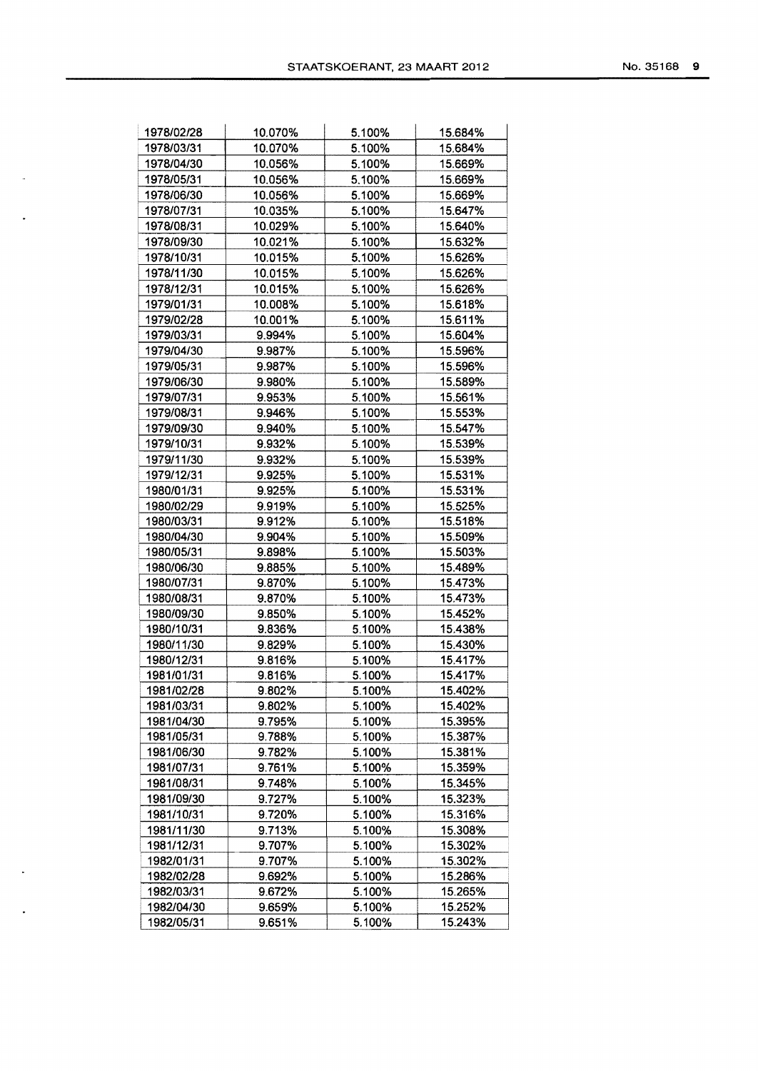| 1978/02/28 | 10.070% | 5.100% | 15.684% |
|------------|---------|--------|---------|
| 1978/03/31 | 10.070% | 5.100% | 15.684% |
| 1978/04/30 | 10.056% | 5.100% | 15.669% |
| 1978/05/31 | 10.056% | 5.100% | 15.669% |
| 1978/06/30 | 10.056% | 5.100% | 15.669% |
| 1978/07/31 | 10.035% | 5.100% | 15.647% |
| 1978/08/31 | 10.029% | 5.100% | 15.640% |
| 1978/09/30 | 10.021% | 5.100% | 15.632% |
| 1978/10/31 | 10.015% | 5.100% | 15.626% |
| 1978/11/30 | 10.015% | 5.100% | 15.626% |
| 1978/12/31 | 10.015% | 5.100% | 15.626% |
| 1979/01/31 | 10.008% | 5.100% | 15.618% |
| 1979/02/28 | 10.001% | 5.100% | 15.611% |
| 1979/03/31 | 9.994%  | 5.100% | 15.604% |
| 1979/04/30 | 9.987%  | 5.100% | 15.596% |
| 1979/05/31 | 9.987%  | 5.100% | 15.596% |
| 1979/06/30 | 9.980%  | 5.100% | 15.589% |
| 1979/07/31 | 9.953%  | 5.100% | 15.561% |
| 1979/08/31 | 9.946%  | 5.100% | 15.553% |
| 1979/09/30 | 9.940%  | 5.100% | 15.547% |
| 1979/10/31 | 9.932%  | 5.100% | 15.539% |
| 1979/11/30 | 9.932%  | 5.100% | 15.539% |
| 1979/12/31 | 9.925%  | 5.100% | 15.531% |
| 1980/01/31 | 9.925%  | 5.100% | 15.531% |
| 1980/02/29 | 9.919%  | 5.100% | 15.525% |
| 1980/03/31 | 9.912%  | 5.100% | 15.518% |
| 1980/04/30 | 9.904%  | 5.100% | 15.509% |
| 1980/05/31 | 9.898%  | 5.100% | 15.503% |
| 1980/06/30 | 9.885%  | 5.100% | 15.489% |
| 1980/07/31 | 9.870%  | 5.100% | 15.473% |
| 1980/08/31 | 9.870%  | 5.100% | 15.473% |
| 1980/09/30 | 9.850%  | 5.100% | 15.452% |
| 1980/10/31 | 9.836%  | 5.100% | 15.438% |
| 1980/11/30 | 9.829%  | 5.100% | 15.430% |
| 1980/12/31 | 9.816%  | 5.100% | 15.417% |
| 1981/01/31 | 9.816%  | 5.100% | 15.417% |
| 1981/02/28 | 9.802%  | 5.100% | 15.402% |
| 1981/03/31 | 9.802%  | 5.100% | 15.402% |
| 1981/04/30 | 9.795%  | 5.100% | 15.395% |
| 1981/05/31 | 9.788%  | 5.100% | 15.387% |
| 1981/06/30 | 9.782%  | 5.100% | 15.381% |
| 1981/07/31 | 9.761%  | 5.100% | 15.359% |
| 1981/08/31 | 9.748%  | 5.100% | 15.345% |
| 1981/09/30 | 9.727%  | 5.100% | 15.323% |
| 1981/10/31 | 9.720%  | 5.100% | 15.316% |
| 1981/11/30 | 9.713%  | 5.100% | 15.308% |
| 1981/12/31 | 9.707%  | 5.100% | 15.302% |
| 1982/01/31 | 9.707%  | 5.100% | 15.302% |
| 1982/02/28 | 9.692%  | 5.100% | 15.286% |
| 1982/03/31 | 9.672%  | 5.100% | 15.265% |
|            |         |        |         |

 $\ddot{\phantom{a}}$ 

 $\downarrow$ 

 $\mathbb{Z}$ 

 $\langle \bullet \rangle$  .

1982/04/30 9.659% 5.100% 15.252% 1982/05/31 9.651% 5.100% 15.243%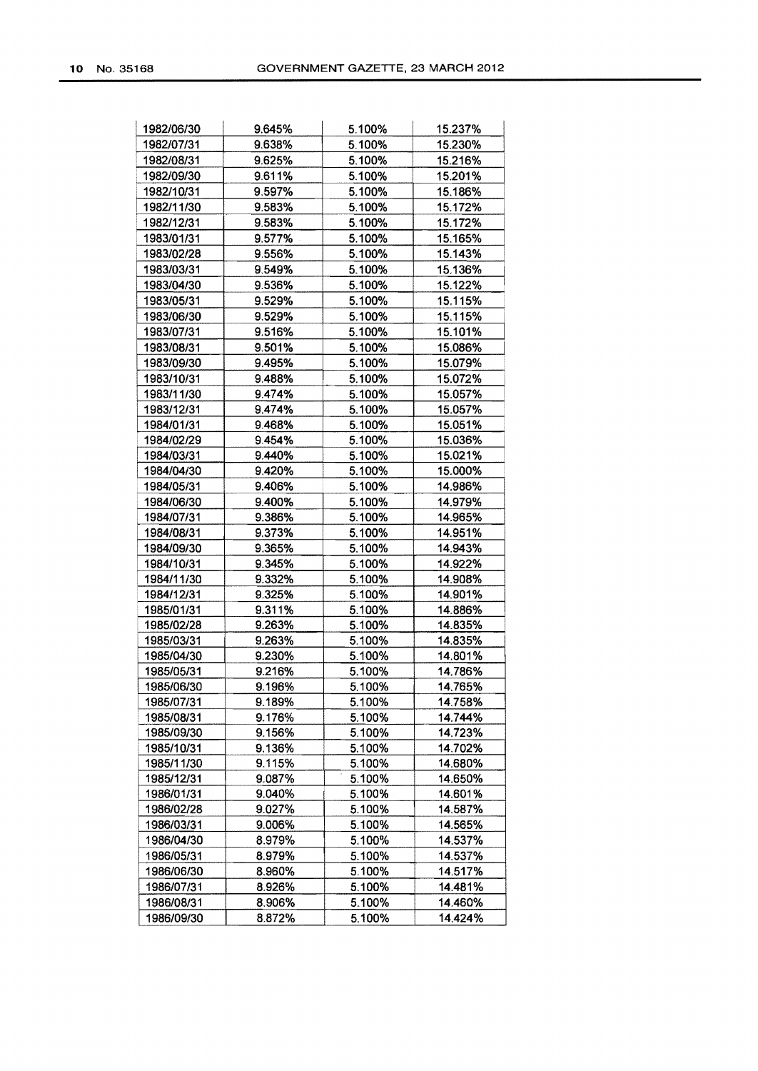| 1982/06/30 | 9.645% | 5.100% | 15.237% |
|------------|--------|--------|---------|
| 1982/07/31 | 9.638% | 5.100% | 15.230% |
| 1982/08/31 | 9.625% | 5.100% | 15.216% |
| 1982/09/30 | 9.611% | 5.100% | 15.201% |
| 1982/10/31 | 9.597% | 5.100% | 15.186% |
| 1982/11/30 | 9.583% | 5.100% | 15.172% |
| 1982/12/31 | 9.583% | 5.100% | 15.172% |
| 1983/01/31 | 9.577% | 5.100% | 15.165% |
| 1983/02/28 | 9.556% | 5.100% | 15.143% |
| 1983/03/31 | 9.549% | 5.100% | 15.136% |
| 1983/04/30 | 9.536% | 5.100% | 15.122% |
| 1983/05/31 | 9.529% | 5.100% | 15.115% |
| 1983/06/30 | 9.529% | 5.100% | 15.115% |
| 1983/07/31 | 9.516% | 5.100% | 15.101% |
| 1983/08/31 | 9.501% | 5.100% | 15.086% |
| 1983/09/30 | 9.495% | 5.100% | 15.079% |
| 1983/10/31 | 9.488% | 5.100% | 15.072% |
| 1983/11/30 | 9.474% | 5.100% | 15.057% |
| 1983/12/31 | 9.474% | 5.100% | 15.057% |
| 1984/01/31 | 9.468% | 5.100% | 15.051% |
| 1984/02/29 | 9.454% | 5.100% | 15.036% |
| 1984/03/31 | 9.440% | 5.100% | 15.021% |
| 1984/04/30 | 9.420% | 5.100% | 15.000% |
| 1984/05/31 | 9.406% | 5.100% | 14.986% |
| 1984/06/30 | 9.400% | 5.100% | 14.979% |
| 1984/07/31 | 9.386% | 5.100% | 14.965% |
| 1984/08/31 | 9.373% | 5.100% | 14.951% |
| 1984/09/30 | 9.365% | 5.100% | 14.943% |
| 1984/10/31 | 9.345% | 5.100% | 14.922% |
| 1984/11/30 | 9.332% | 5.100% | 14.908% |
| 1984/12/31 | 9.325% | 5.100% | 14.901% |
| 1985/01/31 | 9.311% | 5.100% | 14.886% |
| 1985/02/28 | 9.263% | 5.100% | 14.835% |
| 1985/03/31 | 9.263% | 5.100% | 14.835% |
| 1985/04/30 | 9.230% | 5.100% | 14.801% |
| 1985/05/31 | 9.216% | 5.100% | 14.786% |
| 1985/06/30 | 9.196% | 5.100% | 14.765% |
| 1985/07/31 | 9.189% | 5.100% | 14.758% |
| 1985/08/31 | 9.176% | 5.100% | 14.744% |
| 1985/09/30 | 9.156% | 5.100% | 14.723% |
| 1985/10/31 | 9.136% | 5.100% | 14.702% |
| 1985/11/30 | 9.115% | 5.100% | 14.680% |
| 1985/12/31 | 9.087% | 5.100% | 14.650% |
| 1986/01/31 | 9.040% | 5.100% | 14.601% |
| 1986/02/28 | 9.027% | 5.100% | 14.587% |
| 1986/03/31 | 9.006% | 5.100% | 14.565% |
| 1986/04/30 | 8.979% | 5.100% | 14.537% |
| 1986/05/31 | 8.979% | 5.100% | 14.537% |
| 1986/06/30 | 8.960% | 5.100% | 14.517% |
| 1986/07/31 | 8.926% | 5.100% | 14.481% |
| 1986/08/31 | 8.906% | 5.100% | 14.460% |
| 1986/09/30 | 8.872% | 5.100% | 14.424% |
|            |        |        |         |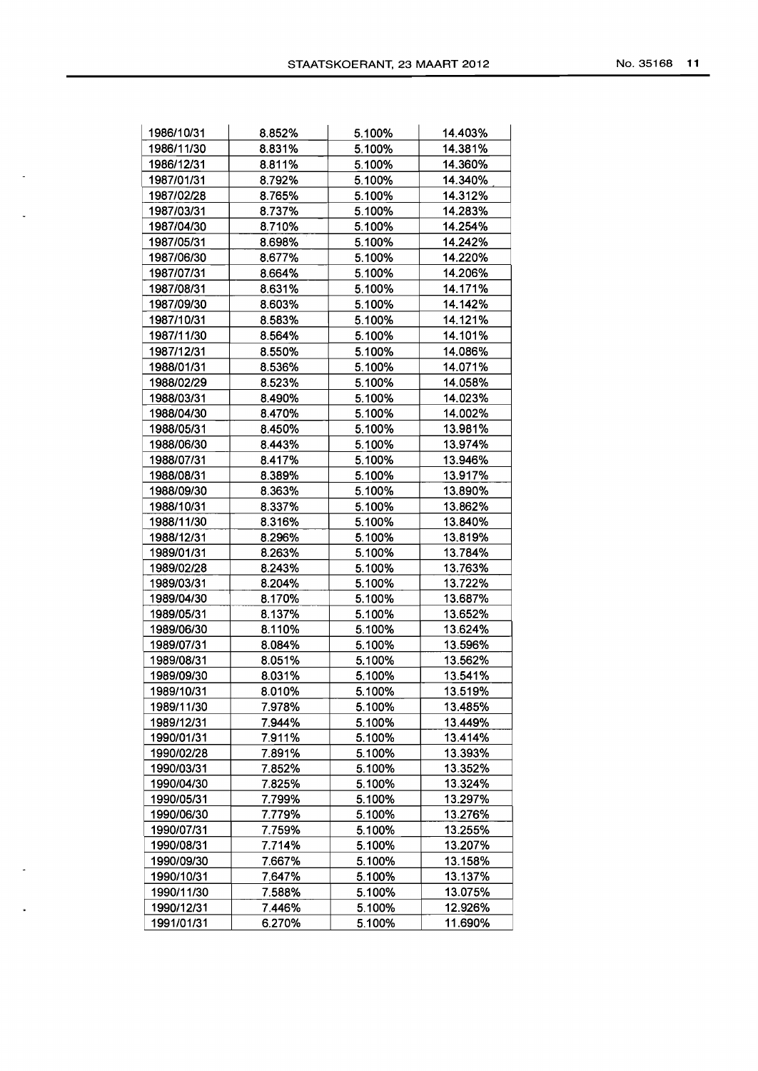| 1986/10/31 | 8.852% | 5.100% | 14.403% |
|------------|--------|--------|---------|
| 1986/11/30 | 8.831% | 5.100% | 14.381% |
| 1986/12/31 | 8.811% | 5.100% | 14.360% |
| 1987/01/31 | 8.792% | 5.100% | 14.340% |
| 1987/02/28 | 8.765% | 5.100% | 14.312% |
| 1987/03/31 | 8.737% | 5.100% | 14.283% |
| 1987/04/30 | 8.710% | 5.100% | 14.254% |
| 1987/05/31 | 8.698% | 5.100% | 14.242% |
| 1987/06/30 | 8.677% | 5.100% | 14.220% |
| 1987/07/31 | 8.664% | 5.100% | 14.206% |
| 1987/08/31 | 8.631% | 5.100% | 14.171% |
| 1987/09/30 | 8.603% | 5.100% | 14.142% |
| 1987/10/31 | 8.583% | 5.100% | 14.121% |
| 1987/11/30 | 8.564% | 5.100% | 14.101% |
| 1987/12/31 | 8.550% | 5.100% | 14.086% |
| 1988/01/31 | 8.536% | 5.100% | 14.071% |
| 1988/02/29 | 8.523% | 5.100% | 14.058% |
| 1988/03/31 | 8.490% | 5.100% | 14.023% |
| 1988/04/30 | 8.470% | 5.100% | 14.002% |
| 1988/05/31 | 8.450% | 5.100% | 13.981% |
| 1988/06/30 | 8.443% | 5.100% | 13.974% |
| 1988/07/31 | 8.417% | 5.100% | 13.946% |
| 1988/08/31 |        | 5.100% | 13.917% |
|            | 8.389% | 5.100% |         |
| 1988/09/30 | 8.363% |        | 13.890% |
| 1988/10/31 | 8.337% | 5.100% | 13.862% |
| 1988/11/30 | 8.316% | 5.100% | 13.840% |
| 1988/12/31 | 8.296% | 5.100% | 13.819% |
| 1989/01/31 | 8.263% | 5.100% | 13.784% |
| 1989/02/28 | 8.243% | 5.100% | 13.763% |
| 1989/03/31 | 8.204% | 5.100% | 13.722% |
| 1989/04/30 | 8.170% | 5.100% | 13.687% |
| 1989/05/31 | 8.137% | 5.100% | 13.652% |
| 1989/06/30 | 8.110% | 5.100% | 13.624% |
| 1989/07/31 | 8.084% | 5.100% | 13.596% |
| 1989/08/31 | 8.051% | 5.100% | 13.562% |
| 1989/09/30 | 8.031% | 5.100% | 13.541% |
| 1989/10/31 | 8.010% | 5.100% | 13.519% |
| 1989/11/30 | 7.978% | 5.100% | 13.485% |
| 1989/12/31 | 7.944% | 5.100% | 13.449% |
| 1990/01/31 | 7.911% | 5.100% | 13.414% |
| 1990/02/28 | 7.891% | 5.100% | 13.393% |
| 1990/03/31 | 7.852% | 5.100% | 13.352% |
| 1990/04/30 | 7.825% | 5.100% | 13.324% |
| 1990/05/31 | 7.799% | 5.100% | 13.297% |
| 1990/06/30 | 7.779% | 5.100% | 13.276% |
| 1990/07/31 | 7.759% | 5.100% | 13.255% |
| 1990/08/31 | 7.714% | 5.100% | 13.207% |
| 1990/09/30 | 7.667% | 5.100% | 13.158% |
| 1990/10/31 | 7.647% | 5.100% | 13.137% |
| 1990/11/30 | 7.588% | 5.100% | 13.075% |
| 1990/12/31 | 7.446% | 5.100% | 12.926% |

 $\mathbb{Z}^2$ 

 $\mathcal{L}^{\pm}$ 

 $\sim$ 

 $\bullet$ 

1990/12/31 7.446% 5.100% 12.926% 1991/01/31 6.270% 5.100% 11.690%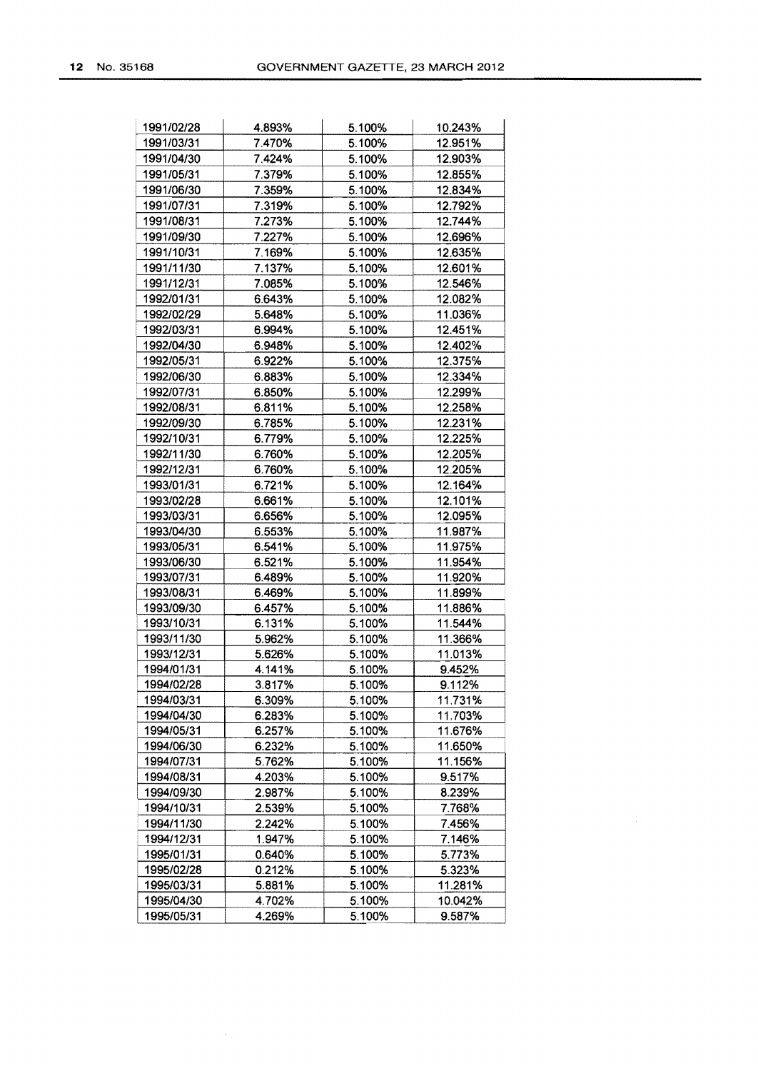| 1991/02/28 | 4.893% | 5.100% | 10.243% |
|------------|--------|--------|---------|
| 1991/03/31 | 7.470% | 5.100% | 12.951% |
| 1991/04/30 | 7.424% | 5.100% | 12.903% |
| 1991/05/31 | 7.379% | 5.100% | 12.855% |
| 1991/06/30 | 7.359% | 5.100% | 12.834% |
| 1991/07/31 | 7.319% | 5.100% | 12.792% |
| 1991/08/31 | 7.273% | 5.100% | 12.744% |
| 1991/09/30 | 7.227% | 5.100% | 12.696% |
| 1991/10/31 | 7.169% | 5.100% | 12.635% |
| 1991/11/30 | 7.137% | 5.100% | 12.601% |
| 1991/12/31 | 7.085% | 5.100% | 12.546% |
| 1992/01/31 | 6.643% | 5.100% | 12.082% |
| 1992/02/29 | 5.648% | 5.100% | 11.036% |
| 1992/03/31 | 6.994% | 5.100% | 12.451% |
| 1992/04/30 | 6.948% | 5.100% | 12.402% |
|            |        |        |         |
| 1992/05/31 | 6.922% | 5.100% | 12.375% |
| 1992/06/30 | 6.883% | 5.100% | 12.334% |
| 1992/07/31 | 6.850% | 5.100% | 12.299% |
| 1992/08/31 | 6.811% | 5.100% | 12.258% |
| 1992/09/30 | 6.785% | 5.100% | 12.231% |
| 1992/10/31 | 6.779% | 5.100% | 12.225% |
| 1992/11/30 | 6.760% | 5.100% | 12.205% |
| 1992/12/31 | 6.760% | 5.100% | 12.205% |
| 1993/01/31 | 6.721% | 5.100% | 12.164% |
| 1993/02/28 | 6.661% | 5.100% | 12.101% |
| 1993/03/31 | 6.656% | 5.100% | 12.095% |
| 1993/04/30 | 6.553% | 5.100% | 11.987% |
| 1993/05/31 | 6.541% | 5.100% | 11.975% |
| 1993/06/30 | 6.521% | 5.100% | 11.954% |
| 1993/07/31 | 6.489% | 5.100% | 11.920% |
| 1993/08/31 | 6.469% | 5.100% | 11.899% |
| 1993/09/30 | 6.457% | 5.100% | 11.886% |
| 1993/10/31 | 6.131% | 5.100% | 11.544% |
| 1993/11/30 | 5.962% | 5.100% | 11.366% |
| 1993/12/31 | 5.626% | 5.100% | 11.013% |
| 1994/01/31 | 4.141% | 5.100% | 9.452%  |
| 1994/02/28 | 3.817% | 5.100% | 9.112%  |
| 1994/03/31 | 6.309% | 5.100% | 11.731% |
| 1994/04/30 | 6.283% | 5.100% | 11.703% |
| 1994/05/31 | 6.257% | 5.100% | 11.676% |
| 1994/06/30 | 6.232% | 5.100% | 11.650% |
| 1994/07/31 | 5.762% | 5.100% | 11.156% |
| 1994/08/31 | 4.203% | 5.100% | 9.517%  |
| 1994/09/30 | 2.987% | 5.100% | 8.239%  |
| 1994/10/31 | 2.539% | 5.100% | 7.768%  |
| 1994/11/30 | 2.242% | 5.100% | 7.456%  |
| 1994/12/31 | 1.947% | 5.100% | 7.146%  |
| 1995/01/31 | 0.640% | 5.100% | 5.773%  |
| 1995/02/28 | 0.212% | 5.100% | 5.323%  |
| 1995/03/31 | 5.881% | 5.100% | 11.281% |
| 1995/04/30 | 4.702% | 5.100% | 10.042% |
| 1995/05/31 | 4.269% | 5.100% | 9.587%  |

 $\sim$ 

 $\mathcal{A}^{\mathcal{A}}$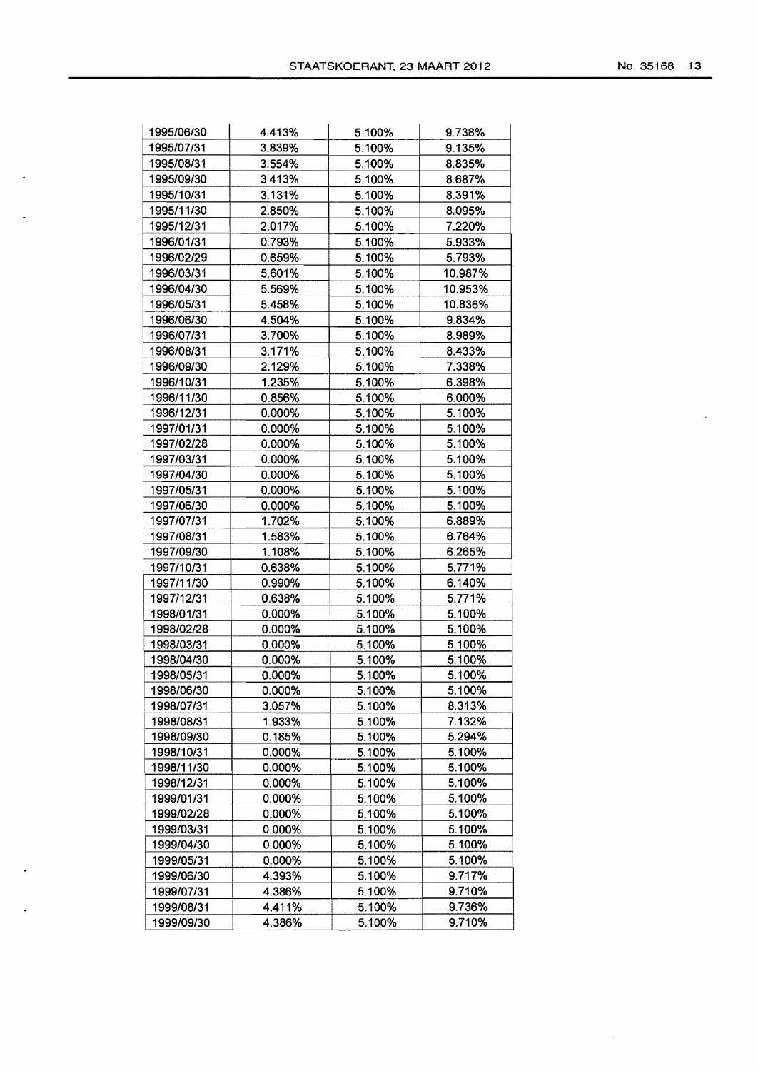|  | No. 35168 |  |  | 13 |
|--|-----------|--|--|----|
|--|-----------|--|--|----|

 $\alpha$ 

 $\mathcal{A}^{\mathcal{A}}$ 

| 1995/06/30 | 4.413% | 5.100% | 9.738%  |
|------------|--------|--------|---------|
| 1995/07/31 | 3.839% | 5.100% | 9.135%  |
| 1995/08/31 | 3.554% | 5.100% | 8.835%  |
| 1995/09/30 | 3.413% | 5.100% | 8.687%  |
| 1995/10/31 | 3.131% | 5.100% | 8.391%  |
| 1995/11/30 | 2.850% | 5.100% | 8.095%  |
| 1995/12/31 | 2.017% | 5.100% | 7.220%  |
| 1996/01/31 | 0.793% | 5.100% | 5.933%  |
| 1996/02/29 | 0.659% | 5.100% | 5.793%  |
| 1996/03/31 | 5.601% | 5.100% | 10.987% |
| 1996/04/30 | 5.569% | 5.100% | 10.953% |
| 1996/05/31 | 5.458% | 5.100% | 10.836% |
| 1996/06/30 | 4.504% | 5.100% | 9.834%  |
| 1996/07/31 | 3.700% | 5.100% | 8.989%  |
| 1996/08/31 | 3.171% | 5.100% | 8.433%  |
| 1996/09/30 | 2.129% | 5.100% | 7.338%  |
| 1996/10/31 | 1.235% | 5.100% | 6.398%  |
| 1996/11/30 | 0.856% | 5.100% | 6.000%  |
| 1996/12/31 | 0.000% | 5.100% | 5.100%  |
| 1997/01/31 | 0.000% | 5.100% | 5.100%  |
| 1997/02/28 | 0.000% | 5.100% | 5.100%  |
| 1997/03/31 | 0.000% | 5.100% | 5.100%  |
| 1997/04/30 | 0.000% | 5.100% | 5.100%  |
| 1997/05/31 | 0.000% | 5.100% | 5.100%  |
| 1997/06/30 | 0.000% | 5.100% | 5.100%  |
| 1997/07/31 | 1.702% | 5.100% | 6.889%  |
| 1997/08/31 | 1.583% | 5.100% | 6.764%  |
| 1997/09/30 | 1.108% | 5.100% | 6.265%  |
| 1997/10/31 | 0.638% | 5.100% | 5.771%  |
| 1997/11/30 | 0.990% | 5.100% | 6.140%  |
| 1997/12/31 | 0.638% | 5.100% | 5.771%  |
| 1998/01/31 | 0.000% | 5.100% | 5.100%  |
| 1998/02/28 | 0.000% | 5.100% | 5.100%  |
| 1998/03/31 | 0.000% | 5.100% | 5.100%  |
| 1998/04/30 | 0.000% | 5.100% | 5.100%  |
| 1998/05/31 | 0.000% | 5.100% | 5.100%  |
| 1998/06/30 | 0.000% | 5.100% | 5.100%  |
| 1998/07/31 | 3.057% | 5.100% | 8.313%  |
| 1998/08/31 | 1.933% | 5.100% | 7.132%  |
| 1998/09/30 | 0.185% | 5.100% | 5.294%  |
| 1998/10/31 | 0.000% | 5.100% | 5.100%  |
| 1998/11/30 | 0.000% | 5.100% | 5.100%  |
| 1998/12/31 | 0.000% | 5.100% | 5.100%  |
| 1999/01/31 | 0.000% | 5.100% | 5.100%  |
| 1999/02/28 | 0.000% | 5.100% | 5.100%  |
| 1999/03/31 | 0.000% | 5.100% | 5.100%  |
| 1999/04/30 | 0.000% | 5.100% | 5.100%  |
| 1999/05/31 | 0.000% | 5.100% | 5.100%  |
| 1999/06/30 | 4.393% | 5.100% | 9.717%  |
| 1999/07/31 | 4.386% | 5.100% | 9.710%  |
| 1999/08/31 | 4.411% | 5.100% | 9.736%  |
| 1999/09/30 | 4.386% | 5.100% | 9.710%  |

 $\ddot{\phantom{1}}$ 

 $\overline{\phantom{a}}$ 

 $\mathcal{L}_{\mathbf{z}}$ 

 $\langle \cdot \rangle$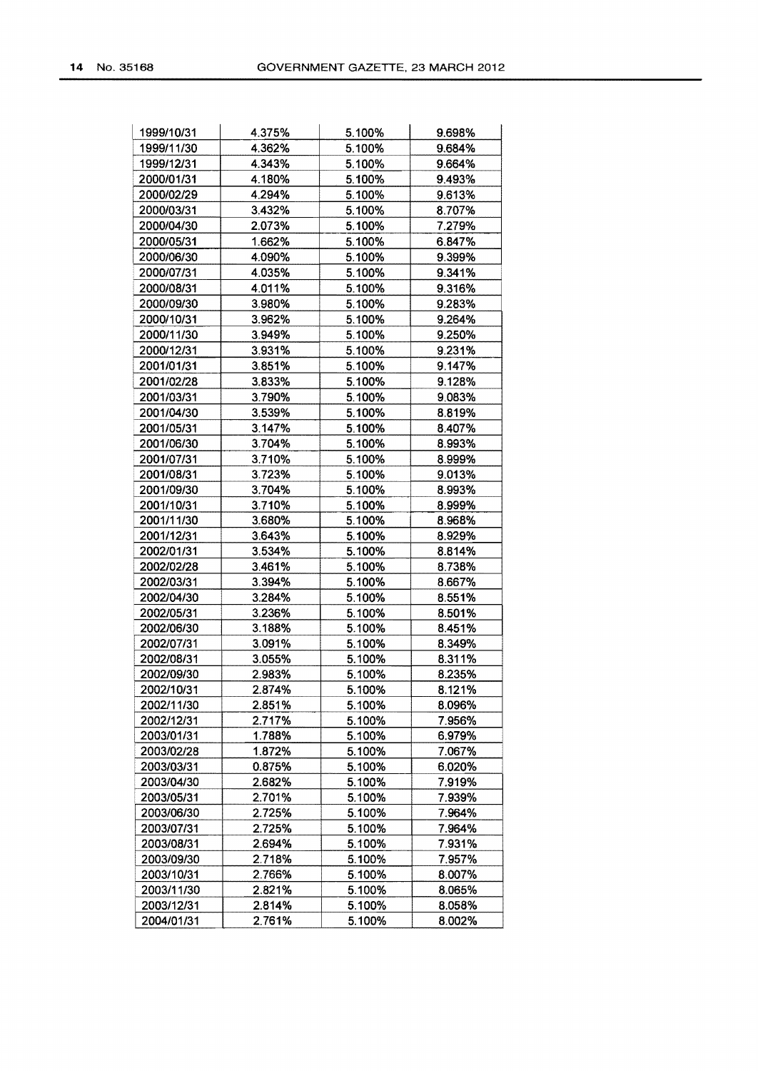| 1999/10/31 | 4.375% | 5.100%           | 9.698%           |
|------------|--------|------------------|------------------|
| 1999/11/30 | 4.362% | 5.100%           | 9.684%           |
| 1999/12/31 | 4.343% | 5.100%           | 9.664%           |
| 2000/01/31 | 4.180% | 5.100%           | 9.493%           |
| 2000/02/29 | 4.294% | 5.100%           | 9.613%           |
| 2000/03/31 | 3.432% | 5.100%           | 8.707%           |
| 2000/04/30 | 2.073% | 5.100%           | 7.279%           |
| 2000/05/31 | 1.662% | 5.100%           | 6.847%           |
| 2000/06/30 | 4.090% | 5.100%           | 9.399%           |
| 2000/07/31 | 4.035% | 5.100%           | 9.341%           |
| 2000/08/31 | 4.011% | 5.100%           | 9.316%           |
| 2000/09/30 | 3.980% | 5.100%           | 9.283%           |
| 2000/10/31 | 3.962% | 5.100%           | 9.264%           |
| 2000/11/30 | 3.949% | 5.100%           | 9.250%           |
| 2000/12/31 | 3.931% | 5.100%           | 9.231%           |
| 2001/01/31 | 3.851% | 5.100%           | 9.147%           |
| 2001/02/28 | 3.833% | 5.100%           | 9.128%           |
| 2001/03/31 | 3.790% | 5.100%           | 9.083%           |
| 2001/04/30 | 3.539% | 5.100%           | 8.819%           |
| 2001/05/31 | 3.147% | 5.100%           | 8.407%           |
| 2001/06/30 | 3.704% | 5.100%           | 8.993%           |
| 2001/07/31 | 3.710% | 5.100%           |                  |
| 2001/08/31 | 3.723% |                  | 8.999%           |
| 2001/09/30 | 3.704% | 5.100%<br>5.100% | 9.013%<br>8.993% |
|            |        |                  |                  |
| 2001/10/31 | 3.710% | 5.100%           | 8.999%<br>8.968% |
| 2001/11/30 | 3.680% | 5.100%           |                  |
| 2001/12/31 | 3.643% | 5.100%           | 8.929%           |
| 2002/01/31 | 3.534% | 5.100%           | 8.814%           |
| 2002/02/28 | 3.461% | 5.100%           | 8.738%           |
| 2002/03/31 | 3.394% | 5.100%           | 8.667%           |
| 2002/04/30 | 3.284% | 5.100%           | 8.551%           |
| 2002/05/31 | 3.236% | 5.100%           | 8.501%           |
| 2002/06/30 | 3.188% | 5.100%           | 8.451%           |
| 2002/07/31 | 3.091% | 5.100%           | 8.349%           |
| 2002/08/31 | 3.055% | 5.100%           | 8.311%           |
| 2002/09/30 | 2.983% | 5.100%           | 8.235%           |
| 2002/10/31 | 2.874% | 5.100%           | 8.121%           |
| 2002/11/30 | 2.851% | 5.100%           | 8.096%           |
| 2002/12/31 | 2.717% | 5.100%           | 7.956%           |
| 2003/01/31 | 1.788% | 5.100%           | 6.979%           |
| 2003/02/28 | 1.872% | 5.100%           | 7.067%           |
| 2003/03/31 | 0.875% | 5.100%           | 6.020%           |
| 2003/04/30 | 2.682% | 5.100%           | 7.919%           |
| 2003/05/31 | 2.701% | 5.100%           | 7.939%           |
| 2003/06/30 | 2.725% | 5.100%           | 7.964%           |
| 2003/07/31 | 2.725% | 5.100%           | 7.964%           |
| 2003/08/31 | 2.694% | 5.100%           | 7.931%           |
| 2003/09/30 | 2.718% | 5.100%           | 7.957%           |
| 2003/10/31 | 2.766% | 5.100%           | 8.007%           |
| 2003/11/30 | 2.821% | 5.100%           | 8.065%           |
| 2003/12/31 | 2.814% | 5.100%           | 8.058%           |
| 2004/01/31 | 2.761% | 5.100%           | 8.002%           |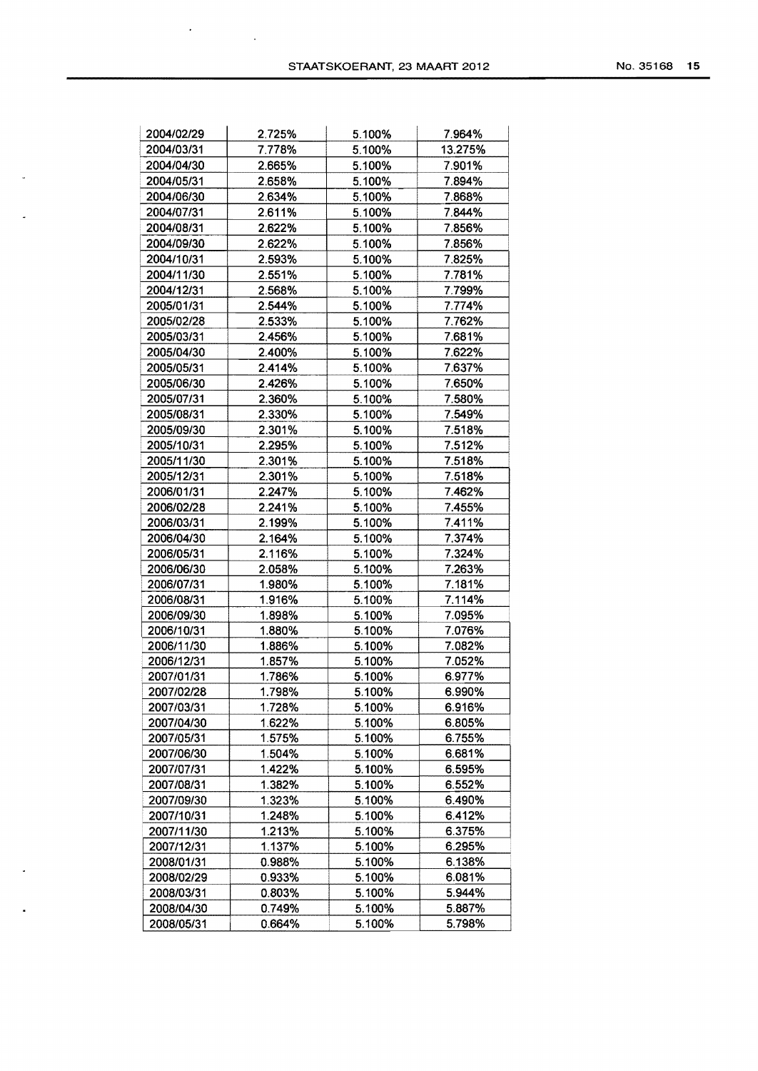$\bar{\star}$ 

J.

 $\ddot{\phantom{a}}$ 

 $\sim$ 

 $\bullet$ 

 $\mathcal{L}^{\text{max}}_{\text{max}}$ 

| No. 35168 |  |  | 15. |
|-----------|--|--|-----|
|-----------|--|--|-----|

| 2004/02/29 | 2.725% | 5.100% | 7.964%  |
|------------|--------|--------|---------|
| 2004/03/31 | 7.778% | 5.100% | 13.275% |
| 2004/04/30 | 2.665% | 5.100% | 7.901%  |
| 2004/05/31 | 2.658% | 5.100% | 7.894%  |
| 2004/06/30 | 2.634% | 5.100% | 7.868%  |
| 2004/07/31 | 2.611% | 5.100% | 7.844%  |
| 2004/08/31 | 2.622% | 5.100% | 7.856%  |
| 2004/09/30 | 2.622% | 5.100% | 7.856%  |
| 2004/10/31 | 2.593% | 5.100% | 7.825%  |
| 2004/11/30 | 2.551% | 5.100% | 7.781%  |
| 2004/12/31 | 2.568% | 5.100% | 7.799%  |
| 2005/01/31 | 2.544% | 5.100% | 7.774%  |
| 2005/02/28 | 2.533% | 5.100% | 7.762%  |
| 2005/03/31 | 2.456% | 5.100% | 7.681%  |
| 2005/04/30 | 2.400% | 5.100% | 7.622%  |
| 2005/05/31 | 2.414% | 5.100% | 7.637%  |
| 2005/06/30 | 2.426% | 5.100% | 7.650%  |
|            |        |        |         |
| 2005/07/31 | 2.360% | 5.100% | 7.580%  |
| 2005/08/31 | 2.330% | 5.100% | 7.549%  |
| 2005/09/30 | 2.301% | 5.100% | 7.518%  |
| 2005/10/31 | 2.295% | 5.100% | 7.512%  |
| 2005/11/30 | 2.301% | 5.100% | 7.518%  |
| 2005/12/31 | 2.301% | 5.100% | 7.518%  |
| 2006/01/31 | 2.247% | 5.100% | 7.462%  |
| 2006/02/28 | 2.241% | 5.100% | 7.455%  |
| 2006/03/31 | 2.199% | 5.100% | 7.411%  |
| 2006/04/30 | 2.164% | 5.100% | 7.374%  |
| 2006/05/31 | 2.116% | 5.100% | 7.324%  |
| 2006/06/30 | 2.058% | 5.100% | 7.263%  |
| 2006/07/31 | 1.980% | 5.100% | 7.181%  |
| 2006/08/31 | 1.916% | 5.100% | 7.114%  |
| 2006/09/30 | 1.898% | 5.100% | 7.095%  |
| 2006/10/31 | 1.880% | 5.100% | 7.076%  |
| 2006/11/30 | 1.886% | 5.100% | 7.082%  |
| 2006/12/31 | 1.857% | 5.100% | 7.052%  |
| 2007/01/31 | 1.786% | 5.100% | 6.977%  |
| 2007/02/28 | 1.798% | 5.100% | 6.990%  |
| 2007/03/31 | 1.728% | 5.100% | 6.916%  |
| 2007/04/30 | 1.622% | 5.100% | 6.805%  |
| 2007/05/31 | 1.575% | 5.100% | 6.755%  |
| 2007/06/30 | 1.504% | 5.100% | 6.681%  |
| 2007/07/31 | 1.422% | 5.100% | 6.595%  |
| 2007/08/31 | 1.382% | 5.100% | 6.552%  |
| 2007/09/30 | 1.323% | 5.100% | 6.490%  |
| 2007/10/31 | 1.248% | 5.100% | 6.412%  |
| 2007/11/30 | 1.213% | 5.100% | 6.375%  |
| 2007/12/31 | 1.137% | 5.100% | 6.295%  |
| 2008/01/31 | 0.988% |        | 6.138%  |
|            |        | 5.100% | 6.081%  |
| 2008/02/29 | 0.933% | 5.100% |         |
| 2008/03/31 | 0.803% | 5.100% | 5.944%  |
| 2008/04/30 | 0.749% | 5.100% | 5.887%  |
| 2008/05/31 | 0.664% | 5.100% | 5.798%  |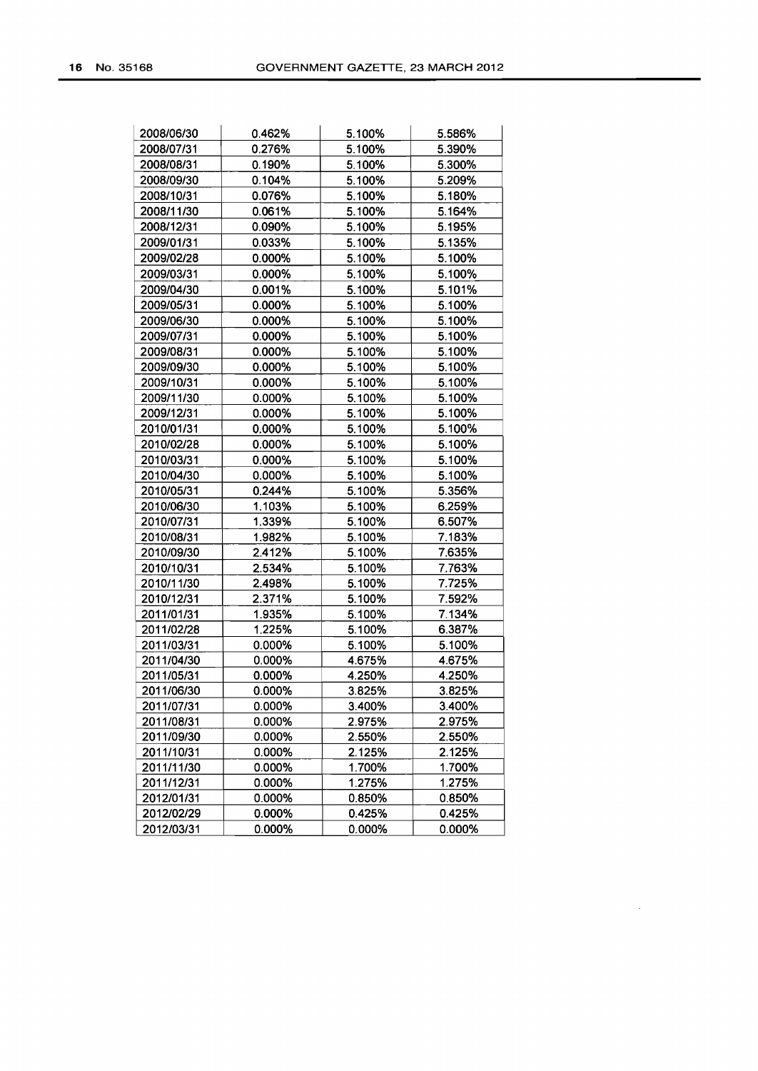| 2008/06/30 | 0.462% | 5.100% | 5.586% |
|------------|--------|--------|--------|
| 2008/07/31 | 0.276% | 5.100% | 5.390% |
| 2008/08/31 | 0.190% | 5.100% | 5.300% |
| 2008/09/30 | 0.104% | 5.100% | 5.209% |
| 2008/10/31 | 0.076% | 5.100% | 5.180% |
| 2008/11/30 | 0.061% | 5.100% | 5.164% |
| 2008/12/31 | 0.090% | 5.100% | 5.195% |
| 2009/01/31 | 0.033% | 5.100% | 5.135% |
| 2009/02/28 | 0.000% | 5.100% | 5.100% |
| 2009/03/31 | 0.000% | 5.100% | 5.100% |
| 2009/04/30 | 0.001% | 5.100% | 5.101% |
| 2009/05/31 | 0.000% | 5.100% | 5.100% |
| 2009/06/30 | 0.000% | 5.100% | 5.100% |
| 2009/07/31 | 0.000% | 5.100% | 5.100% |
| 2009/08/31 | 0.000% | 5.100% | 5.100% |
| 2009/09/30 | 0.000% | 5.100% | 5.100% |
| 2009/10/31 | 0.000% | 5.100% | 5.100% |
| 2009/11/30 | 0.000% | 5.100% | 5.100% |
| 2009/12/31 | 0.000% | 5.100% | 5.100% |
| 2010/01/31 | 0.000% | 5.100% | 5.100% |
| 2010/02/28 | 0.000% | 5.100% | 5.100% |
| 2010/03/31 | 0.000% | 5.100% | 5.100% |
| 2010/04/30 | 0.000% | 5.100% | 5.100% |
| 2010/05/31 | 0.244% | 5.100% | 5.356% |
| 2010/06/30 | 1.103% | 5.100% | 6.259% |
| 2010/07/31 | 1.339% | 5.100% | 6.507% |
| 2010/08/31 | 1.982% | 5.100% | 7.183% |
| 2010/09/30 | 2.412% | 5.100% | 7.635% |
| 2010/10/31 | 2.534% | 5.100% | 7.763% |
| 2010/11/30 | 2.498% | 5.100% | 7.725% |
| 2010/12/31 | 2.371% | 5.100% | 7.592% |
| 2011/01/31 | 1.935% | 5.100% | 7.134% |
| 2011/02/28 | 1.225% | 5.100% | 6.387% |
| 2011/03/31 | 0.000% | 5.100% | 5.100% |
| 2011/04/30 | 0.000% | 4.675% | 4.675% |
| 2011/05/31 | 0.000% | 4.250% | 4.250% |
| 2011/06/30 | 0.000% | 3.825% | 3.825% |
| 2011/07/31 | 0.000% | 3.400% | 3.400% |
| 2011/08/31 | 0.000% | 2.975% | 2.975% |
| 2011/09/30 | 0.000% | 2.550% | 2.550% |
| 2011/10/31 | 0.000% | 2.125% | 2.125% |
| 2011/11/30 | 0.000% | 1.700% | 1.700% |
| 2011/12/31 | 0.000% | 1.275% | 1.275% |
| 2012/01/31 | 0.000% | 0.850% | 0.850% |
| 2012/02/29 | 0.000% | 0.425% | 0.425% |
| 2012/03/31 | 0.000% | 0.000% | 0.000% |

 $\mathcal{A}^{\mathcal{A}}$